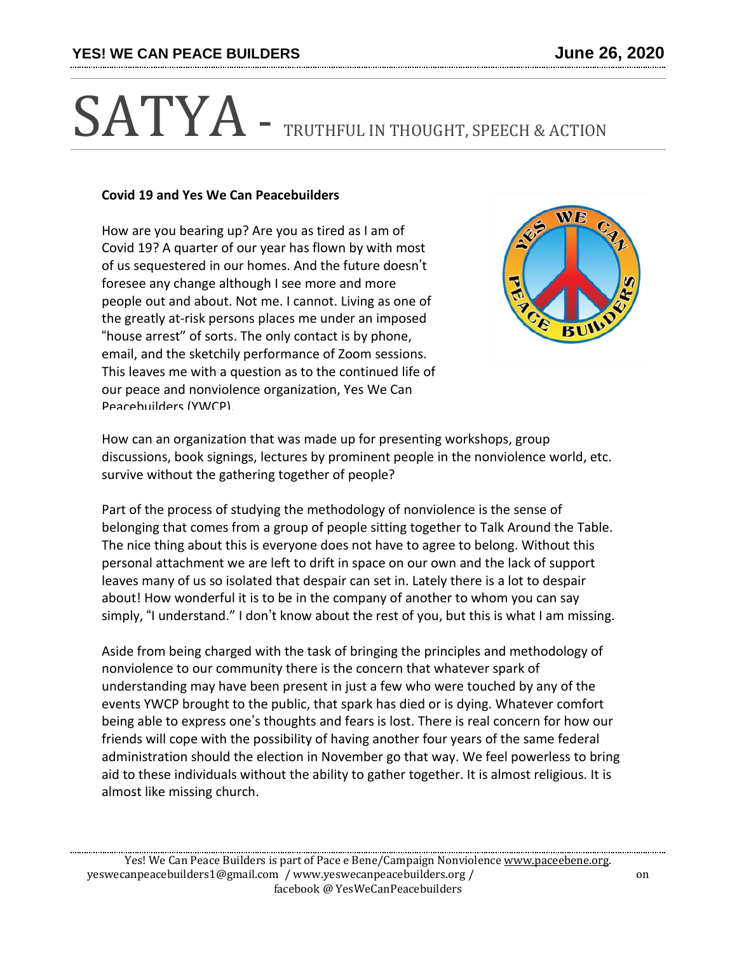## SATYA - TRUTHFUL IN THOUGHT, SPEECH & ACTION

## **Covid 19 and Yes We Can Peacebuilders**

How are you bearing up? Are you as tired as I am of Covid 19? A quarter of our year has flown by with most of us sequestered in our homes. And the future doesn't foresee any change although I see more and more people out and about. Not me. I cannot. Living as one of the greatly at-risk persons places me under an imposed "house arrest" of sorts. The only contact is by phone, email, and the sketchily performance of Zoom sessions. This leaves me with a question as to the continued life of our peace and nonviolence organization, Yes We Can Peacebuilders (YWCP).



How can an organization that was made up for presenting workshops, group discussions, book signings, lectures by prominent people in the nonviolence world, etc. survive without the gathering together of people?

Part of the process of studying the methodology of nonviolence is the sense of belonging that comes from a group of people sitting together to Talk Around the Table. The nice thing about this is everyone does not have to agree to belong. Without this personal attachment we are left to drift in space on our own and the lack of support leaves many of us so isolated that despair can set in. Lately there is a lot to despair about! How wonderful it is to be in the company of another to whom you can say simply, "I understand." I don't know about the rest of you, but this is what I am missing.

Aside from being charged with the task of bringing the principles and methodology of nonviolence to our community there is the concern that whatever spark of understanding may have been present in just a few who were touched by any of the events YWCP brought to the public, that spark has died or is dying. Whatever comfort being able to express one's thoughts and fears is lost. There is real concern for how our friends will cope with the possibility of having another four years of the same federal administration should the election in November go that way. We feel powerless to bring aid to these individuals without the ability to gather together. It is almost religious. It is almost like missing church.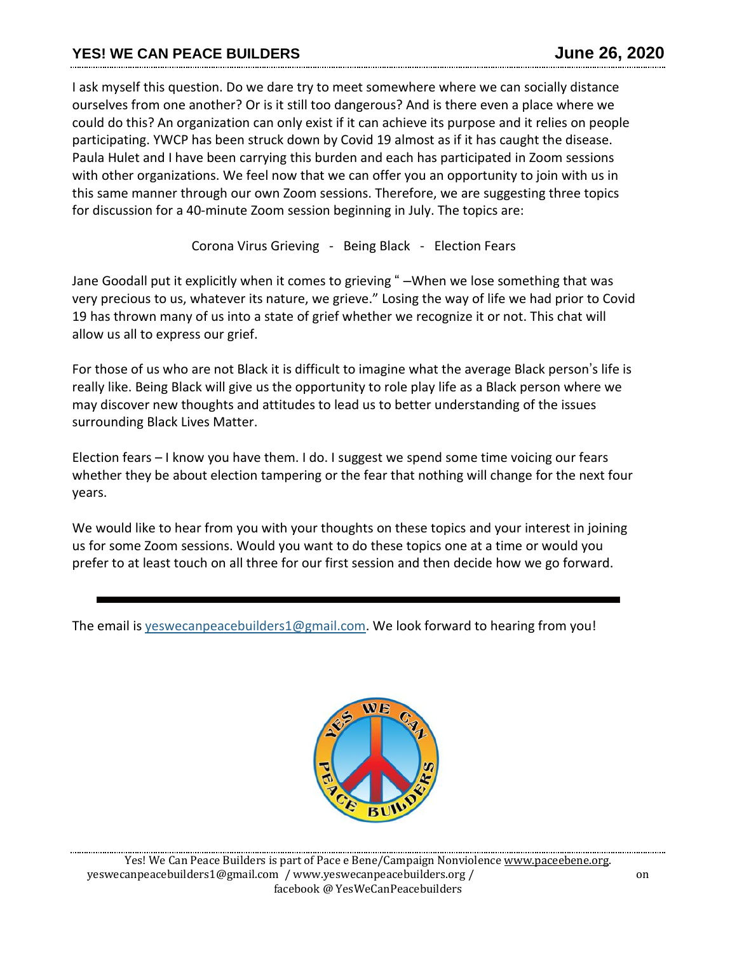I ask myself this question. Do we dare try to meet somewhere where we can socially distance ourselves from one another? Or is it still too dangerous? And is there even a place where we could do this? An organization can only exist if it can achieve its purpose and it relies on people participating. YWCP has been struck down by Covid 19 almost as if it has caught the disease. Paula Hulet and I have been carrying this burden and each has participated in Zoom sessions with other organizations. We feel now that we can offer you an opportunity to join with us in this same manner through our own Zoom sessions. Therefore, we are suggesting three topics for discussion for a 40-minute Zoom session beginning in July. The topics are:

Corona Virus Grieving - Being Black - Election Fears

Jane Goodall put it explicitly when it comes to grieving " –When we lose something that was very precious to us, whatever its nature, we grieve." Losing the way of life we had prior to Covid 19 has thrown many of us into a state of grief whether we recognize it or not. This chat will allow us all to express our grief.

For those of us who are not Black it is difficult to imagine what the average Black person's life is really like. Being Black will give us the opportunity to role play life as a Black person where we may discover new thoughts and attitudes to lead us to better understanding of the issues surrounding Black Lives Matter.

Election fears – I know you have them. I do. I suggest we spend some time voicing our fears whether they be about election tampering or the fear that nothing will change for the next four years.

We would like to hear from you with your thoughts on these topics and your interest in joining us for some Zoom sessions. Would you want to do these topics one at a time or would you prefer to at least touch on all three for our first session and then decide how we go forward.

The email is [yeswecanpeacebuilders1@gmail.com.](mailto:yeswecanpeacebuilders1@gmail.com) We look forward to hearing from you!

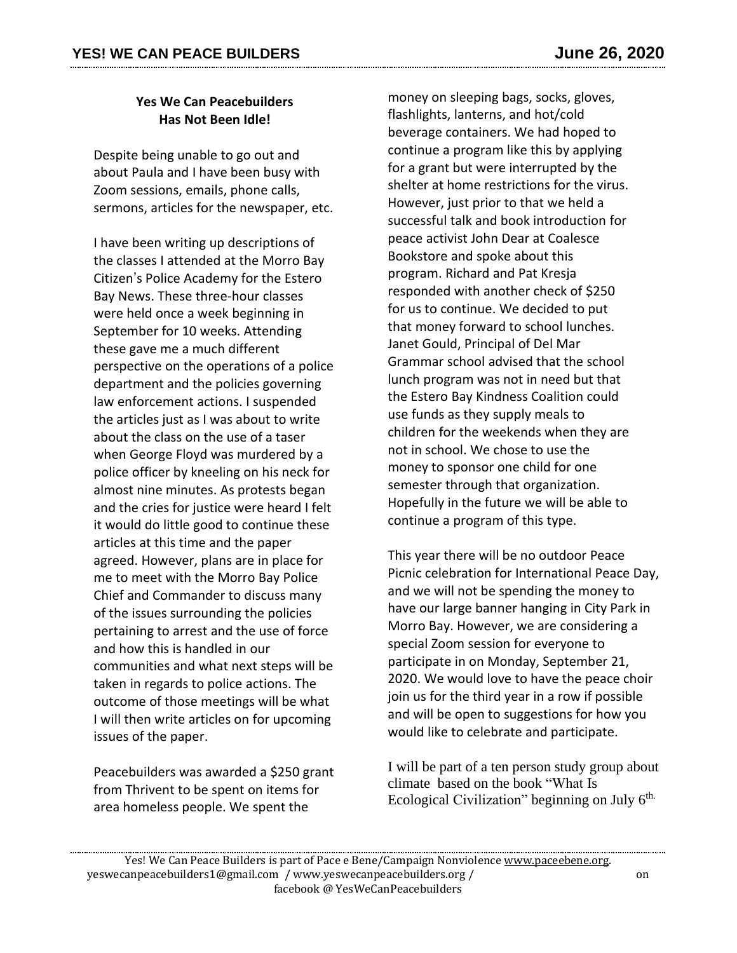## **Yes We Can Peacebuilders Has Not Been Idle!**

Despite being unable to go out and about Paula and I have been busy with Zoom sessions, emails, phone calls, sermons, articles for the newspaper, etc.

I have been writing up descriptions of the classes I attended at the Morro Bay Citizen's Police Academy for the Estero Bay News. These three-hour classes were held once a week beginning in September for 10 weeks. Attending these gave me a much different perspective on the operations of a police department and the policies governing law enforcement actions. I suspended the articles just as I was about to write about the class on the use of a taser when George Floyd was murdered by a police officer by kneeling on his neck for almost nine minutes. As protests began and the cries for justice were heard I felt it would do little good to continue these articles at this time and the paper agreed. However, plans are in place for me to meet with the Morro Bay Police Chief and Commander to discuss many of the issues surrounding the policies pertaining to arrest and the use of force and how this is handled in our communities and what next steps will be taken in regards to police actions. The outcome of those meetings will be what I will then write articles on for upcoming issues of the paper.

Peacebuilders was awarded a \$250 grant from Thrivent to be spent on items for area homeless people. We spent the

money on sleeping bags, socks, gloves, flashlights, lanterns, and hot/cold beverage containers. We had hoped to continue a program like this by applying for a grant but were interrupted by the shelter at home restrictions for the virus. However, just prior to that we held a successful talk and book introduction for peace activist John Dear at Coalesce Bookstore and spoke about this program. Richard and Pat Kresja responded with another check of \$250 for us to continue. We decided to put that money forward to school lunches. Janet Gould, Principal of Del Mar Grammar school advised that the school lunch program was not in need but that the Estero Bay Kindness Coalition could use funds as they supply meals to children for the weekends when they are not in school. We chose to use the money to sponsor one child for one semester through that organization. Hopefully in the future we will be able to continue a program of this type.

This year there will be no outdoor Peace Picnic celebration for International Peace Day, and we will not be spending the money to have our large banner hanging in City Park in Morro Bay. However, we are considering a special Zoom session for everyone to participate in on Monday, September 21, 2020. We would love to have the peace choir join us for the third year in a row if possible and will be open to suggestions for how you would like to celebrate and participate.

I will be part of a ten person study group about climate based on the book "What Is Ecological Civilization" beginning on July 6<sup>th.</sup>